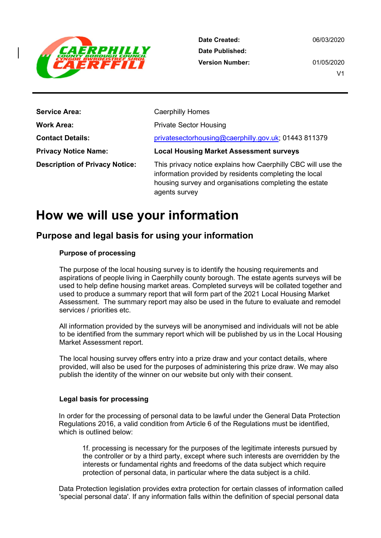

06/03/2020

01/05/2020 V1

| <b>Service Area:</b>                  | <b>Caerphilly Homes</b>                                                                                                                                                                           |
|---------------------------------------|---------------------------------------------------------------------------------------------------------------------------------------------------------------------------------------------------|
| <b>Work Area:</b>                     | <b>Private Sector Housing</b>                                                                                                                                                                     |
| <b>Contact Details:</b>               | privatesectorhousing@caerphilly.gov.uk; 01443 811379                                                                                                                                              |
| <b>Privacy Notice Name:</b>           | <b>Local Housing Market Assessment surveys</b>                                                                                                                                                    |
| <b>Description of Privacy Notice:</b> | This privacy notice explains how Caerphilly CBC will use the<br>information provided by residents completing the local<br>housing survey and organisations completing the estate<br>agents survey |

# How we will use your information

## Purpose and legal basis for using your information

#### Purpose of processing

The purpose of the local housing survey is to identify the housing requirements and aspirations of people living in Caerphilly county borough. The estate agents surveys will be used to help define housing market areas. Completed surveys will be collated together and used to produce a summary report that will form part of the 2021 Local Housing Market Assessment. The summary report may also be used in the future to evaluate and remodel services / priorities etc.

All information provided by the surveys will be anonymised and individuals will not be able to be identified from the summary report which will be published by us in the Local Housing Market Assessment report.

The local housing survey offers entry into a prize draw and your contact details, where provided, will also be used for the purposes of administering this prize draw. We may also publish the identity of the winner on our website but only with their consent.

#### Legal basis for processing

In order for the processing of personal data to be lawful under the General Data Protection Regulations 2016, a valid condition from Article 6 of the Regulations must be identified, which is outlined below:

1f. processing is necessary for the purposes of the legitimate interests pursued by the controller or by a third party, except where such interests are overridden by the interests or fundamental rights and freedoms of the data subject which require protection of personal data, in particular where the data subject is a child.

Data Protection legislation provides extra protection for certain classes of information called 'special personal data'. If any information falls within the definition of special personal data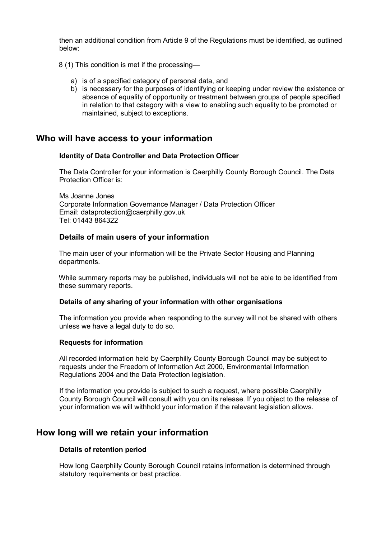then an additional condition from Article 9 of the Regulations must be identified, as outlined below:

8 (1) This condition is met if the processing—

- a) is of a specified category of personal data, and
- b) is necessary for the purposes of identifying or keeping under review the existence or absence of equality of opportunity or treatment between groups of people specified in relation to that category with a view to enabling such equality to be promoted or maintained, subject to exceptions.

## Who will have access to your information

#### Identity of Data Controller and Data Protection Officer

The Data Controller for your information is Caerphilly County Borough Council. The Data Protection Officer is:

Ms Joanne Jones Corporate Information Governance Manager / Data Protection Officer Email: dataprotection@caerphilly.gov.uk Tel: 01443 864322

#### Details of main users of your information

The main user of your information will be the Private Sector Housing and Planning departments.

While summary reports may be published, individuals will not be able to be identified from these summary reports.

#### Details of any sharing of your information with other organisations

The information you provide when responding to the survey will not be shared with others unless we have a legal duty to do so.

#### Requests for information

 All recorded information held by Caerphilly County Borough Council may be subject to requests under the Freedom of Information Act 2000, Environmental Information Regulations 2004 and the Data Protection legislation.

 If the information you provide is subject to such a request, where possible Caerphilly County Borough Council will consult with you on its release. If you object to the release of your information we will withhold your information if the relevant legislation allows.

## How long will we retain your information

#### Details of retention period

 How long Caerphilly County Borough Council retains information is determined through statutory requirements or best practice.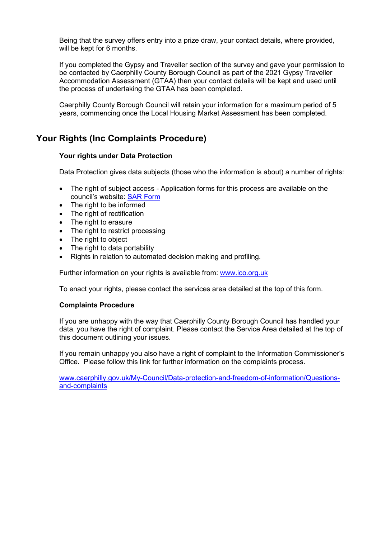Being that the survey offers entry into a prize draw, your contact details, where provided, will be kept for 6 months.

If you completed the Gypsy and Traveller section of the survey and gave your permission to be contacted by Caerphilly County Borough Council as part of the 2021 Gypsy Traveller Accommodation Assessment (GTAA) then your contact details will be kept and used until the process of undertaking the GTAA has been completed.

Caerphilly County Borough Council will retain your information for a maximum period of 5 years, commencing once the Local Housing Market Assessment has been completed.

## Your Rights (Inc Complaints Procedure)

#### Your rights under Data Protection

Data Protection gives data subjects (those who the information is about) a number of rights:

- The right of subject access Application forms for this process are available on the council's website: SAR Form
- The right to be informed
- The right of rectification
- The right to erasure
- The right to restrict processing
- The right to object
- The right to data portability
- Rights in relation to automated decision making and profiling.

Further information on your rights is available from: www.jco.org.uk

To enact your rights, please contact the services area detailed at the top of this form.

#### Complaints Procedure

 If you are unhappy with the way that Caerphilly County Borough Council has handled your data, you have the right of complaint. Please contact the Service Area detailed at the top of this document outlining your issues.

 If you remain unhappy you also have a right of complaint to the Information Commissioner's Office. Please follow this link for further information on the complaints process.

www.caerphilly.gov.uk/My-Council/Data-protection-and-freedom-of-information/Questionsand-complaints